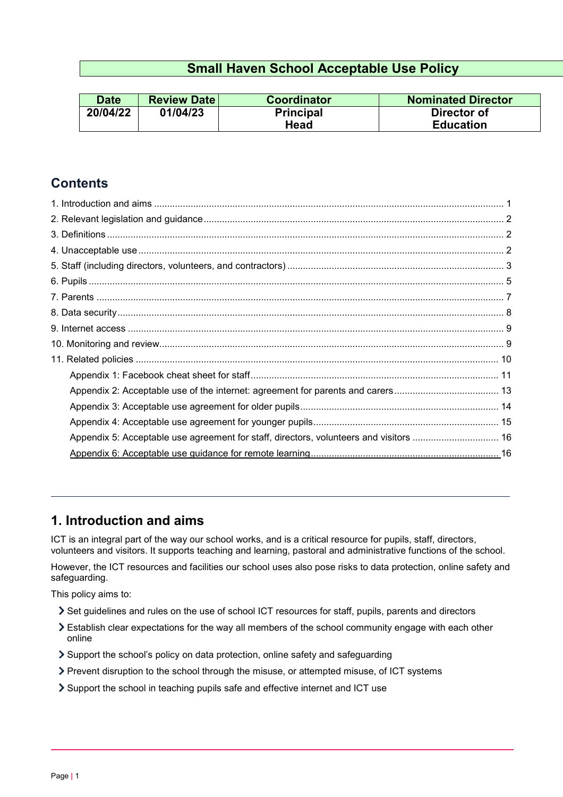# **Small Haven School Acceptable Use Policy**

| <b>Date</b> | <b>Review Date</b> | Coordinator      | <b>Nominated Director</b> |
|-------------|--------------------|------------------|---------------------------|
| 20/04/22    | 01/04/23           | <b>Principal</b> | Director of               |
|             |                    | Head             | <b>Education</b>          |

# **Contents**

| Appendix 5: Acceptable use agreement for staff, directors, volunteers and visitors  16 |  |
|----------------------------------------------------------------------------------------|--|
|                                                                                        |  |

# <span id="page-0-0"></span>**1. Introduction and aims**

ICT is an integral part of the way our school works, and is a critical resource for pupils, staff, directors, volunteers and visitors. It supports teaching and learning, pastoral and administrative functions of the school.

However, the ICT resources and facilities our school uses also pose risks to data protection, online safety and safeguarding.

This policy aims to:

- Set guidelines and rules on the use of school ICT resources for staff, pupils, parents and directors
- Establish clear expectations for the way all members of the school community engage with each other online
- Support the school's policy on data protection, online safety and safeguarding
- Prevent disruption to the school through the misuse, or attempted misuse, of ICT systems
- Support the school in teaching pupils safe and effective internet and ICT use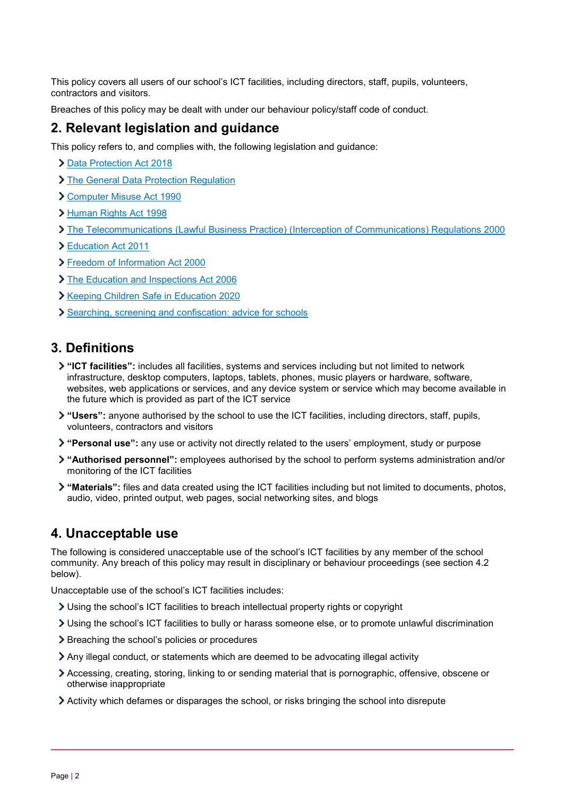This policy covers all users of our school's ICT facilities, including directors, staff, pupils, volunteers, contractors and visitors.

Breaches of this policy may be dealt with under our behaviour policy/staff code of conduct.

# <span id="page-1-0"></span>**2. Relevant legislation and guidance**

This policy refers to, and complies with, the following legislation and guidance:

- > [Data Protection Act 2018](http://www.legislation.gov.uk/ukpga/2018/12/contents/enacted)
- > [The General Data Protection Regulation](https://eur-lex.europa.eu/legal-content/EN/TXT/HTML/?uri=CELEX:32016R0679)
- [Computer Misuse Act 1990](https://www.legislation.gov.uk/ukpga/1990/18/contents)
- > [Human Rights Act 1998](https://www.legislation.gov.uk/ukpga/1998/42/contents)
- [The Telecommunications \(Lawful Business Practice\) \(Interception of Communications\) Regulations 2000](https://www.legislation.gov.uk/uksi/2000/2699/regulation/3/made)
- [Education Act 2011](http://www.legislation.gov.uk/ukpga/2011/21/section/2/enacted)
- [Freedom of Information Act 2000](https://www.legislation.gov.uk/ukpga/2000/36/contents)
- > [The Education and Inspections Act 2006](https://www.legislation.gov.uk/ukpga/2006/40/part/7/chapter/1)
- **> [Keeping Children Safe in Education 2020](https://www.gov.uk/government/publications/keeping-children-safe-in-education--2)**
- [Searching, screening and confiscation: advice for schools](https://www.gov.uk/government/publications/searching-screening-and-confiscation)

# <span id="page-1-1"></span>**3. Definitions**

- **"ICT facilities":** includes all facilities, systems and services including but not limited to network infrastructure, desktop computers, laptops, tablets, phones, music players or hardware, software, websites, web applications or services, and any device system or service which may become available in the future which is provided as part of the ICT service
- **"Users":** anyone authorised by the school to use the ICT facilities, including directors, staff, pupils, volunteers, contractors and visitors
- **"Personal use":** any use or activity not directly related to the users' employment, study or purpose
- **"Authorised personnel":** employees authorised by the school to perform systems administration and/or monitoring of the ICT facilities
- **"Materials":** files and data created using the ICT facilities including but not limited to documents, photos, audio, video, printed output, web pages, social networking sites, and blogs

# <span id="page-1-2"></span>**4. Unacceptable use**

The following is considered unacceptable use of the school's ICT facilities by any member of the school community. Any breach of this policy may result in disciplinary or behaviour proceedings (see section 4.2 below).

Unacceptable use of the school's ICT facilities includes:

- Using the school's ICT facilities to breach intellectual property rights or copyright
- Using the school's ICT facilities to bully or harass someone else, or to promote unlawful discrimination
- > Breaching the school's policies or procedures
- Any illegal conduct, or statements which are deemed to be advocating illegal activity
- Accessing, creating, storing, linking to or sending material that is pornographic, offensive, obscene or otherwise inappropriate
- Activity which defames or disparages the school, or risks bringing the school into disrepute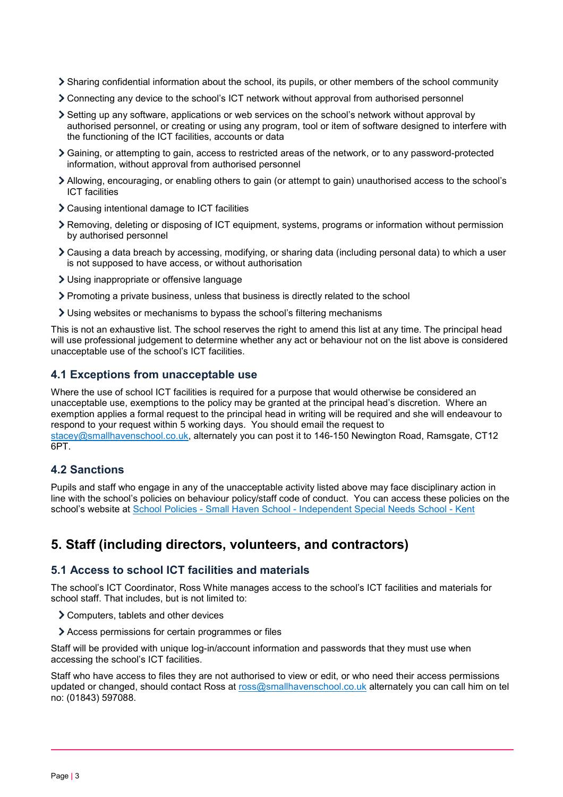- Sharing confidential information about the school, its pupils, or other members of the school community
- Connecting any device to the school's ICT network without approval from authorised personnel
- Setting up any software, applications or web services on the school's network without approval by authorised personnel, or creating or using any program, tool or item of software designed to interfere with the functioning of the ICT facilities, accounts or data
- Gaining, or attempting to gain, access to restricted areas of the network, or to any password-protected information, without approval from authorised personnel
- Allowing, encouraging, or enabling others to gain (or attempt to gain) unauthorised access to the school's ICT facilities
- Causing intentional damage to ICT facilities
- Removing, deleting or disposing of ICT equipment, systems, programs or information without permission by authorised personnel
- Causing a data breach by accessing, modifying, or sharing data (including personal data) to which a user is not supposed to have access, or without authorisation
- Using inappropriate or offensive language
- Promoting a private business, unless that business is directly related to the school
- Using websites or mechanisms to bypass the school's filtering mechanisms

This is not an exhaustive list. The school reserves the right to amend this list at any time. The principal head will use professional judgement to determine whether any act or behaviour not on the list above is considered unacceptable use of the school's ICT facilities.

#### **4.1 Exceptions from unacceptable use**

Where the use of school ICT facilities is required for a purpose that would otherwise be considered an unacceptable use, exemptions to the policy may be granted at the principal head's discretion. Where an exemption applies a formal request to the principal head in writing will be required and she will endeavour to respond to your request within 5 working days. You should email the request to [stacey@smallhavenschool.co.uk,](mailto:stacey@smallhavenschool.co.uk) alternately you can post it to 146-150 Newington Road, Ramsgate, CT12 6PT.

### **4.2 Sanctions**

Pupils and staff who engage in any of the unacceptable activity listed above may face disciplinary action in line with the school's policies on behaviour policy/staff code of conduct. You can access these policies on the school's website at School Policies - Small Haven School - [Independent Special Needs School -](https://www.smallhavenschool.co.uk/school-information/policies.html) Kent

# <span id="page-2-0"></span>**5. Staff (including directors, volunteers, and contractors)**

#### **5.1 Access to school ICT facilities and materials**

The school's ICT Coordinator, Ross White manages access to the school's ICT facilities and materials for school staff. That includes, but is not limited to:

- Computers, tablets and other devices
- Access permissions for certain programmes or files

Staff will be provided with unique log-in/account information and passwords that they must use when accessing the school's ICT facilities.

Staff who have access to files they are not authorised to view or edit, or who need their access permissions updated or changed, should contact Ross at [ross@smallhavenschool.co.uk](mailto:ross@smallhavenschool.co.uk) alternately you can call him on tel no: (01843) 597088.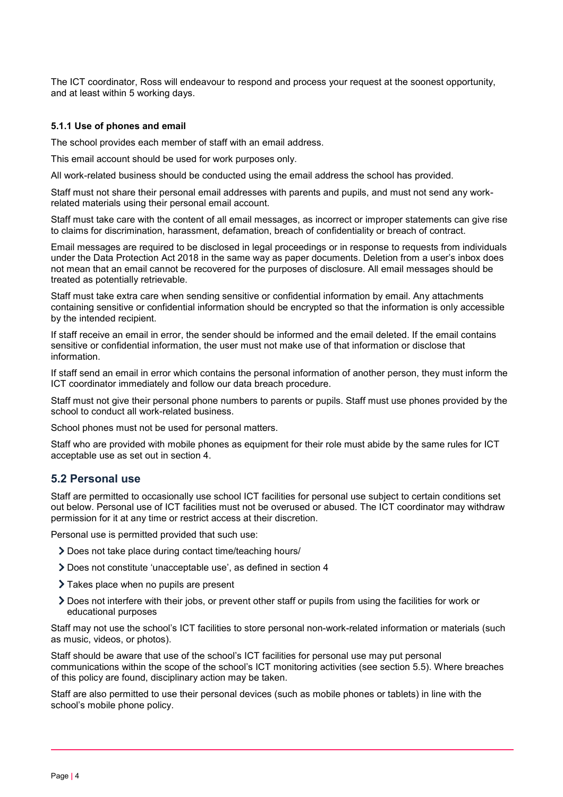The ICT coordinator, Ross will endeavour to respond and process your request at the soonest opportunity, and at least within 5 working days.

#### **5.1.1 Use of phones and email**

The school provides each member of staff with an email address.

This email account should be used for work purposes only.

All work-related business should be conducted using the email address the school has provided.

Staff must not share their personal email addresses with parents and pupils, and must not send any workrelated materials using their personal email account.

Staff must take care with the content of all email messages, as incorrect or improper statements can give rise to claims for discrimination, harassment, defamation, breach of confidentiality or breach of contract.

Email messages are required to be disclosed in legal proceedings or in response to requests from individuals under the Data Protection Act 2018 in the same way as paper documents. Deletion from a user's inbox does not mean that an email cannot be recovered for the purposes of disclosure. All email messages should be treated as potentially retrievable.

Staff must take extra care when sending sensitive or confidential information by email. Any attachments containing sensitive or confidential information should be encrypted so that the information is only accessible by the intended recipient.

If staff receive an email in error, the sender should be informed and the email deleted. If the email contains sensitive or confidential information, the user must not make use of that information or disclose that information.

If staff send an email in error which contains the personal information of another person, they must inform the ICT coordinator immediately and follow our data breach procedure.

Staff must not give their personal phone numbers to parents or pupils. Staff must use phones provided by the school to conduct all work-related business.

School phones must not be used for personal matters.

Staff who are provided with mobile phones as equipment for their role must abide by the same rules for ICT acceptable use as set out in section 4.

#### **5.2 Personal use**

Staff are permitted to occasionally use school ICT facilities for personal use subject to certain conditions set out below. Personal use of ICT facilities must not be overused or abused. The ICT coordinator may withdraw permission for it at any time or restrict access at their discretion.

Personal use is permitted provided that such use:

- Does not take place during contact time/teaching hours/
- Does not constitute 'unacceptable use', as defined in section 4
- > Takes place when no pupils are present
- Does not interfere with their jobs, or prevent other staff or pupils from using the facilities for work or educational purposes

Staff may not use the school's ICT facilities to store personal non-work-related information or materials (such as music, videos, or photos).

Staff should be aware that use of the school's ICT facilities for personal use may put personal communications within the scope of the school's ICT monitoring activities (see section 5.5). Where breaches of this policy are found, disciplinary action may be taken.

Staff are also permitted to use their personal devices (such as mobile phones or tablets) in line with the school's mobile phone policy.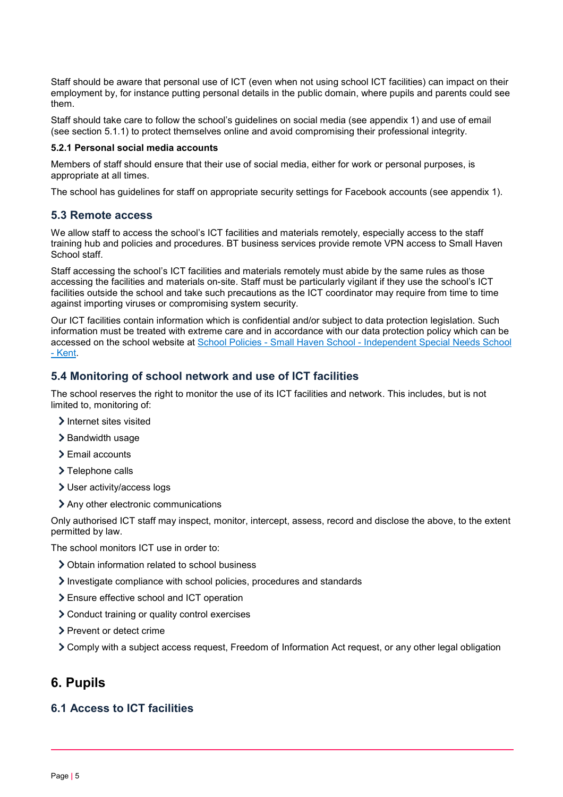Staff should be aware that personal use of ICT (even when not using school ICT facilities) can impact on their employment by, for instance putting personal details in the public domain, where pupils and parents could see them.

Staff should take care to follow the school's guidelines on social media (see appendix 1) and use of email (see section 5.1.1) to protect themselves online and avoid compromising their professional integrity.

#### **5.2.1 Personal social media accounts**

Members of staff should ensure that their use of social media, either for work or personal purposes, is appropriate at all times.

The school has guidelines for staff on appropriate security settings for Facebook accounts (see appendix 1).

#### **5.3 Remote access**

We allow staff to access the school's ICT facilities and materials remotely, especially access to the staff training hub and policies and procedures. BT business services provide remote VPN access to Small Haven School staff.

Staff accessing the school's ICT facilities and materials remotely must abide by the same rules as those accessing the facilities and materials on-site. Staff must be particularly vigilant if they use the school's ICT facilities outside the school and take such precautions as the ICT coordinator may require from time to time against importing viruses or compromising system security.

Our ICT facilities contain information which is confidential and/or subject to data protection legislation. Such information must be treated with extreme care and in accordance with our data protection policy which can be accessed on the school website at School Policies - Small Haven School - [Independent Special Needs School](https://www.smallhavenschool.co.uk/school-information/policies.html)  - [Kent.](https://www.smallhavenschool.co.uk/school-information/policies.html)

## **5.4 Monitoring of school network and use of ICT facilities**

The school reserves the right to monitor the use of its ICT facilities and network. This includes, but is not limited to, monitoring of:

- > Internet sites visited
- $\geq$  Bandwidth usage
- > Email accounts
- > Telephone calls
- User activity/access logs
- Any other electronic communications

Only authorised ICT staff may inspect, monitor, intercept, assess, record and disclose the above, to the extent permitted by law.

The school monitors ICT use in order to:

- Obtain information related to school business
- Investigate compliance with school policies, procedures and standards
- Ensure effective school and ICT operation
- Conduct training or quality control exercises
- > Prevent or detect crime
- Comply with a subject access request, Freedom of Information Act request, or any other legal obligation

# <span id="page-4-0"></span>**6. Pupils**

## **6.1 Access to ICT facilities**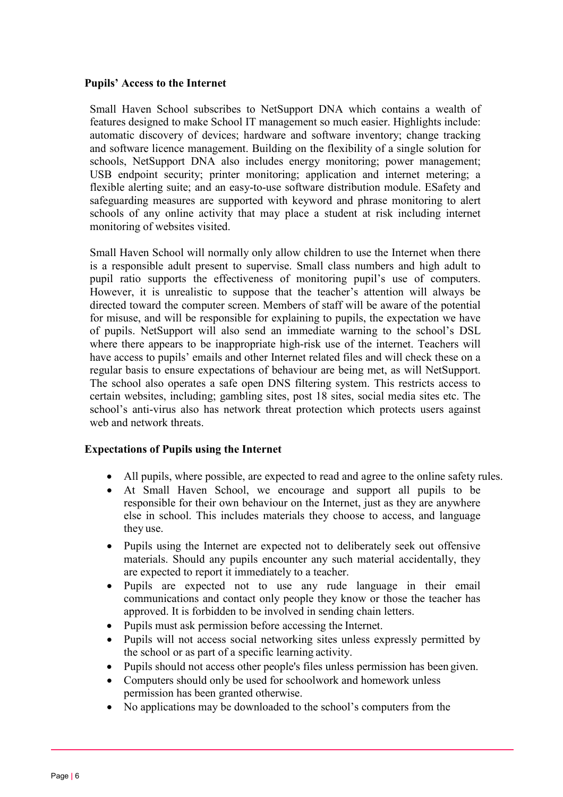### **Pupils' Access to the Internet**

Small Haven School subscribes to NetSupport DNA which contains a wealth of features designed to make School IT management so much easier. Highlights include: automatic discovery of devices; hardware and software inventory; change tracking and software licence management. Building on the flexibility of a single solution for schools, NetSupport DNA also includes energy monitoring; power management; USB endpoint security; printer monitoring; application and internet metering; a flexible alerting suite; and an easy-to-use software distribution module. ESafety and safeguarding measures are supported with keyword and phrase monitoring to alert schools of any online activity that may place a student at risk including internet monitoring of websites visited.

Small Haven School will normally only allow children to use the Internet when there is a responsible adult present to supervise. Small class numbers and high adult to pupil ratio supports the effectiveness of monitoring pupil's use of computers. However, it is unrealistic to suppose that the teacher's attention will always be directed toward the computer screen. Members of staff will be aware of the potential for misuse, and will be responsible for explaining to pupils, the expectation we have of pupils. NetSupport will also send an immediate warning to the school's DSL where there appears to be inappropriate high-risk use of the internet. Teachers will have access to pupils' emails and other Internet related files and will check these on a regular basis to ensure expectations of behaviour are being met, as will NetSupport. The school also operates a safe open DNS filtering system. This restricts access to certain websites, including; gambling sites, post 18 sites, social media sites etc. The school's anti-virus also has network threat protection which protects users against web and network threats.

### **Expectations of Pupils using the Internet**

- All pupils, where possible, are expected to read and agree to the online safety rules.
- At Small Haven School, we encourage and support all pupils to be responsible for their own behaviour on the Internet, just as they are anywhere else in school. This includes materials they choose to access, and language they use.
- Pupils using the Internet are expected not to deliberately seek out offensive materials. Should any pupils encounter any such material accidentally, they are expected to report it immediately to a teacher.
- Pupils are expected not to use any rude language in their email communications and contact only people they know or those the teacher has approved. It is forbidden to be involved in sending chain letters.
- Pupils must ask permission before accessing the Internet.
- Pupils will not access social networking sites unless expressly permitted by the school or as part of a specific learning activity.
- Pupils should not access other people's files unless permission has been given.
- Computers should only be used for schoolwork and homework unless permission has been granted otherwise.
- No applications may be downloaded to the school's computers from the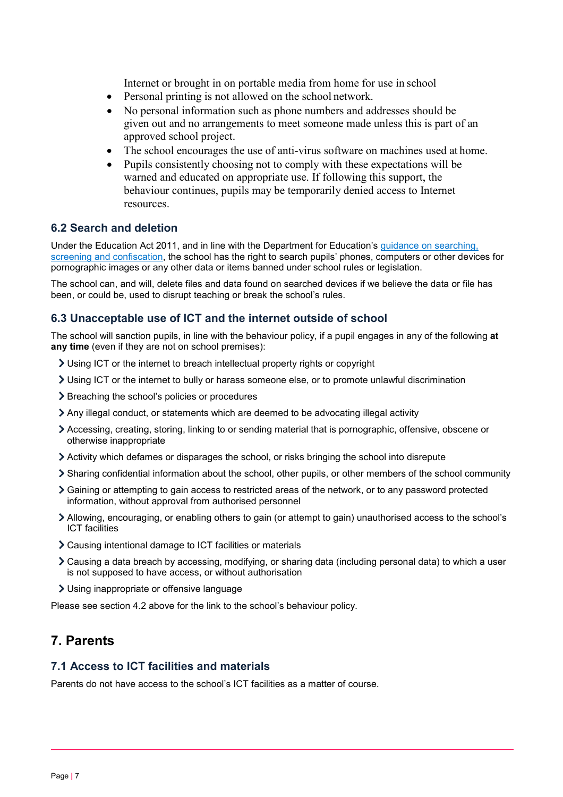Internet or brought in on portable media from home for use in school

- Personal printing is not allowed on the school network.
- No personal information such as phone numbers and addresses should be given out and no arrangements to meet someone made unless this is part of an approved school project.
- The school encourages the use of anti-virus software on machines used at home.
- Pupils consistently choosing not to comply with these expectations will be warned and educated on appropriate use. If following this support, the behaviour continues, pupils may be temporarily denied access to Internet resources.

## **6.2 Search and deletion**

Under the Education Act 2011, and in line with the Department for Education's [guidance on searching,](https://www.gov.uk/government/publications/searching-screening-and-confiscation)  [screening and confiscation,](https://www.gov.uk/government/publications/searching-screening-and-confiscation) the school has the right to search pupils' phones, computers or other devices for pornographic images or any other data or items banned under school rules or legislation.

The school can, and will, delete files and data found on searched devices if we believe the data or file has been, or could be, used to disrupt teaching or break the school's rules.

### **6.3 Unacceptable use of ICT and the internet outside of school**

The school will sanction pupils, in line with the behaviour policy, if a pupil engages in any of the following **at any time** (even if they are not on school premises):

- Using ICT or the internet to breach intellectual property rights or copyright
- Using ICT or the internet to bully or harass someone else, or to promote unlawful discrimination
- > Breaching the school's policies or procedures
- Any illegal conduct, or statements which are deemed to be advocating illegal activity
- Accessing, creating, storing, linking to or sending material that is pornographic, offensive, obscene or otherwise inappropriate
- Activity which defames or disparages the school, or risks bringing the school into disrepute
- Sharing confidential information about the school, other pupils, or other members of the school community
- Gaining or attempting to gain access to restricted areas of the network, or to any password protected information, without approval from authorised personnel
- Allowing, encouraging, or enabling others to gain (or attempt to gain) unauthorised access to the school's ICT facilities
- Causing intentional damage to ICT facilities or materials
- Causing a data breach by accessing, modifying, or sharing data (including personal data) to which a user is not supposed to have access, or without authorisation
- Using inappropriate or offensive language

Please see section 4.2 above for the link to the school's behaviour policy.

# <span id="page-6-0"></span>**7. Parents**

### **7.1 Access to ICT facilities and materials**

Parents do not have access to the school's ICT facilities as a matter of course.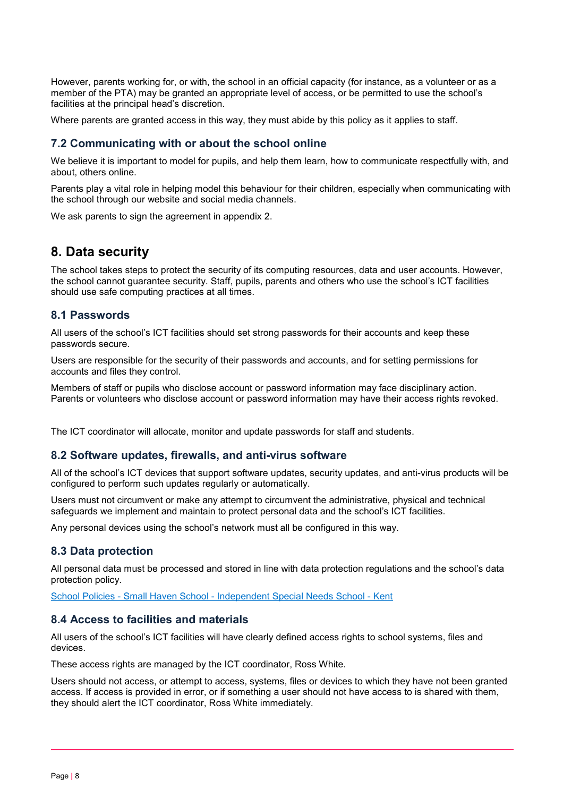However, parents working for, or with, the school in an official capacity (for instance, as a volunteer or as a member of the PTA) may be granted an appropriate level of access, or be permitted to use the school's facilities at the principal head's discretion.

Where parents are granted access in this way, they must abide by this policy as it applies to staff.

### **7.2 Communicating with or about the school online**

We believe it is important to model for pupils, and help them learn, how to communicate respectfully with, and about, others online.

Parents play a vital role in helping model this behaviour for their children, especially when communicating with the school through our website and social media channels.

We ask parents to sign the agreement in appendix 2.

# <span id="page-7-0"></span>**8. Data security**

The school takes steps to protect the security of its computing resources, data and user accounts. However, the school cannot guarantee security. Staff, pupils, parents and others who use the school's ICT facilities should use safe computing practices at all times.

## **8.1 Passwords**

All users of the school's ICT facilities should set strong passwords for their accounts and keep these passwords secure.

Users are responsible for the security of their passwords and accounts, and for setting permissions for accounts and files they control.

Members of staff or pupils who disclose account or password information may face disciplinary action. Parents or volunteers who disclose account or password information may have their access rights revoked.

The ICT coordinator will allocate, monitor and update passwords for staff and students.

### **8.2 Software updates, firewalls, and anti-virus software**

All of the school's ICT devices that support software updates, security updates, and anti-virus products will be configured to perform such updates regularly or automatically.

Users must not circumvent or make any attempt to circumvent the administrative, physical and technical safeguards we implement and maintain to protect personal data and the school's ICT facilities.

Any personal devices using the school's network must all be configured in this way.

## **8.3 Data protection**

All personal data must be processed and stored in line with data protection regulations and the school's data protection policy.

School Policies - Small Haven School - [Independent Special Needs School -](https://www.smallhavenschool.co.uk/school-information/policies.html) Kent

### **8.4 Access to facilities and materials**

All users of the school's ICT facilities will have clearly defined access rights to school systems, files and devices.

These access rights are managed by the ICT coordinator, Ross White.

Users should not access, or attempt to access, systems, files or devices to which they have not been granted access. If access is provided in error, or if something a user should not have access to is shared with them, they should alert the ICT coordinator, Ross White immediately.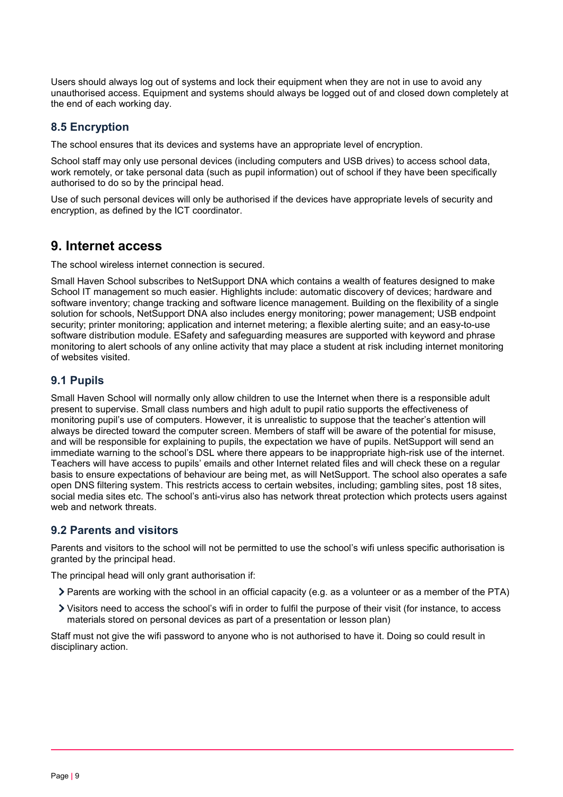Users should always log out of systems and lock their equipment when they are not in use to avoid any unauthorised access. Equipment and systems should always be logged out of and closed down completely at the end of each working day.

# **8.5 Encryption**

The school ensures that its devices and systems have an appropriate level of encryption.

School staff may only use personal devices (including computers and USB drives) to access school data, work remotely, or take personal data (such as pupil information) out of school if they have been specifically authorised to do so by the principal head.

Use of such personal devices will only be authorised if the devices have appropriate levels of security and encryption, as defined by the ICT coordinator.

# <span id="page-8-0"></span>**9. Internet access**

The school wireless internet connection is secured.

Small Haven School subscribes to NetSupport DNA which contains a wealth of features designed to make School IT management so much easier. Highlights include: automatic discovery of devices; hardware and software inventory; change tracking and software licence management. Building on the flexibility of a single solution for schools, NetSupport DNA also includes energy monitoring; power management; USB endpoint security; printer monitoring; application and internet metering; a flexible alerting suite; and an easy-to-use software distribution module. ESafety and safeguarding measures are supported with keyword and phrase monitoring to alert schools of any online activity that may place a student at risk including internet monitoring of websites visited.

# **9.1 Pupils**

Small Haven School will normally only allow children to use the Internet when there is a responsible adult present to supervise. Small class numbers and high adult to pupil ratio supports the effectiveness of monitoring pupil's use of computers. However, it is unrealistic to suppose that the teacher's attention will always be directed toward the computer screen. Members of staff will be aware of the potential for misuse, and will be responsible for explaining to pupils, the expectation we have of pupils. NetSupport will send an immediate warning to the school's DSL where there appears to be inappropriate high-risk use of the internet. Teachers will have access to pupils' emails and other Internet related files and will check these on a regular basis to ensure expectations of behaviour are being met, as will NetSupport. The school also operates a safe open DNS filtering system. This restricts access to certain websites, including; gambling sites, post 18 sites, social media sites etc. The school's anti-virus also has network threat protection which protects users against web and network threats.

## **9.2 Parents and visitors**

Parents and visitors to the school will not be permitted to use the school's wifi unless specific authorisation is granted by the principal head.

The principal head will only grant authorisation if:

- Parents are working with the school in an official capacity (e.g. as a volunteer or as a member of the PTA)
- Visitors need to access the school's wifi in order to fulfil the purpose of their visit (for instance, to access materials stored on personal devices as part of a presentation or lesson plan)

<span id="page-8-1"></span>Staff must not give the wifi password to anyone who is not authorised to have it. Doing so could result in disciplinary action.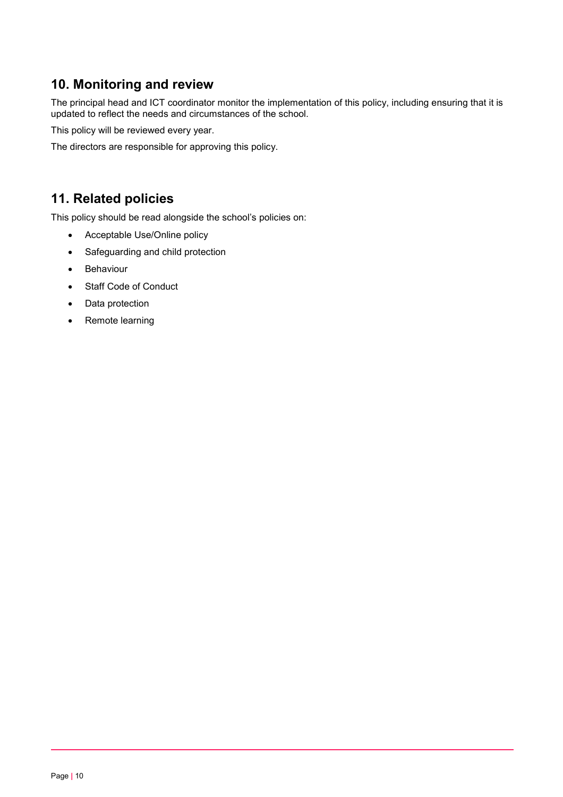# **10. Monitoring and review**

The principal head and ICT coordinator monitor the implementation of this policy, including ensuring that it is updated to reflect the needs and circumstances of the school.

This policy will be reviewed every year.

The directors are responsible for approving this policy.

# <span id="page-9-0"></span>**11. Related policies**

This policy should be read alongside the school's policies on:

- Acceptable Use/Online policy
- Safeguarding and child protection
- Behaviour
- Staff Code of Conduct
- Data protection
- Remote learning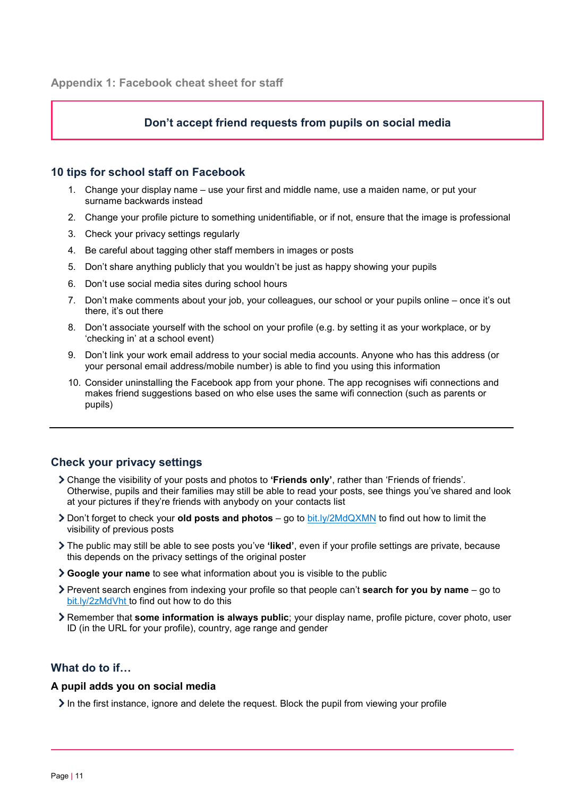### **Don't accept friend requests from pupils on social media**

#### <span id="page-10-0"></span>**10 tips for school staff on Facebook**

- 1. Change your display name use your first and middle name, use a maiden name, or put your surname backwards instead
- 2. Change your profile picture to something unidentifiable, or if not, ensure that the image is professional
- 3. Check your privacy settings regularly
- 4. Be careful about tagging other staff members in images or posts
- 5. Don't share anything publicly that you wouldn't be just as happy showing your pupils
- 6. Don't use social media sites during school hours
- 7. Don't make comments about your job, your colleagues, our school or your pupils online once it's out there, it's out there
- 8. Don't associate yourself with the school on your profile (e.g. by setting it as your workplace, or by 'checking in' at a school event)
- 9. Don't link your work email address to your social media accounts. Anyone who has this address (or your personal email address/mobile number) is able to find you using this information
- 10. Consider uninstalling the Facebook app from your phone. The app recognises wifi connections and makes friend suggestions based on who else uses the same wifi connection (such as parents or pupils)

## **Check your privacy settings**

- Change the visibility of your posts and photos to **'Friends only'**, rather than 'Friends of friends'. Otherwise, pupils and their families may still be able to read your posts, see things you've shared and look at your pictures if they're friends with anybody on your contacts list
- Don't forget to check your **old posts and photos** go to [bit.ly/2MdQXMN](https://www.facebook.com/help/iphone-app/236898969688346?helpref=uf_permalink) to find out how to limit the visibility of previous posts
- The public may still be able to see posts you've **'liked'**, even if your profile settings are private, because this depends on the privacy settings of the original poster
- **Google your name** to see what information about you is visible to the public
- Prevent search engines from indexing your profile so that people can't **search for you by name** go to [bit.ly/2zMdVht t](https://www.facebook.com/help/124518907626945?helpref=faq_content)o find out how to do this
- Remember that **some information is always public**; your display name, profile picture, cover photo, user ID (in the URL for your profile), country, age range and gender

## **What do to if…**

#### **A pupil adds you on social media**

 $\geq$  In the first instance, ignore and delete the request. Block the pupil from viewing your profile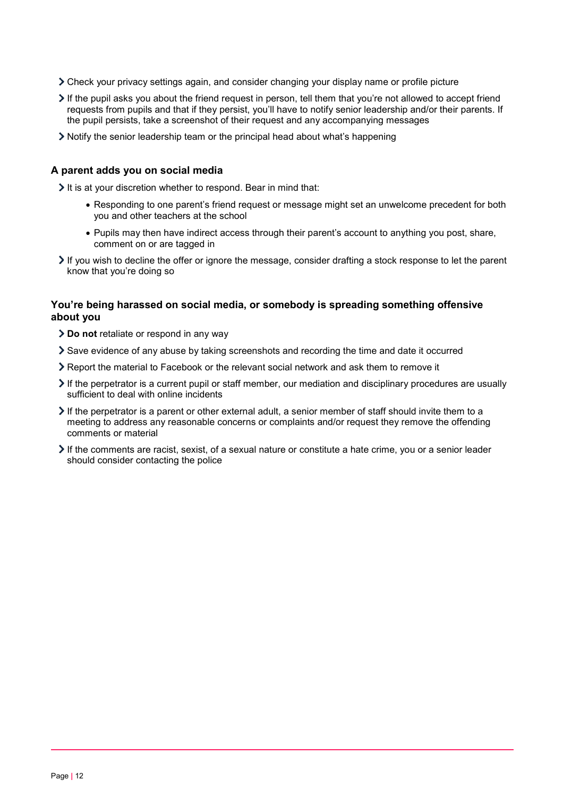- Check your privacy settings again, and consider changing your display name or profile picture
- If the pupil asks you about the friend request in person, tell them that you're not allowed to accept friend requests from pupils and that if they persist, you'll have to notify senior leadership and/or their parents. If the pupil persists, take a screenshot of their request and any accompanying messages
- Notify the senior leadership team or the principal head about what's happening

#### **A parent adds you on social media**

 $\geq$  It is at your discretion whether to respond. Bear in mind that:

- Responding to one parent's friend request or message might set an unwelcome precedent for both you and other teachers at the school
- Pupils may then have indirect access through their parent's account to anything you post, share, comment on or are tagged in
- If you wish to decline the offer or ignore the message, consider drafting a stock response to let the parent know that you're doing so

#### **You're being harassed on social media, or somebody is spreading something offensive about you**

- **Do not** retaliate or respond in any way
- Save evidence of any abuse by taking screenshots and recording the time and date it occurred
- Report the material to Facebook or the relevant social network and ask them to remove it
- If the perpetrator is a current pupil or staff member, our mediation and disciplinary procedures are usually sufficient to deal with online incidents
- $\triangleright$  If the perpetrator is a parent or other external adult, a senior member of staff should invite them to a meeting to address any reasonable concerns or complaints and/or request they remove the offending comments or material
- $\geq$  If the comments are racist, sexist, of a sexual nature or constitute a hate crime, you or a senior leader should consider contacting the police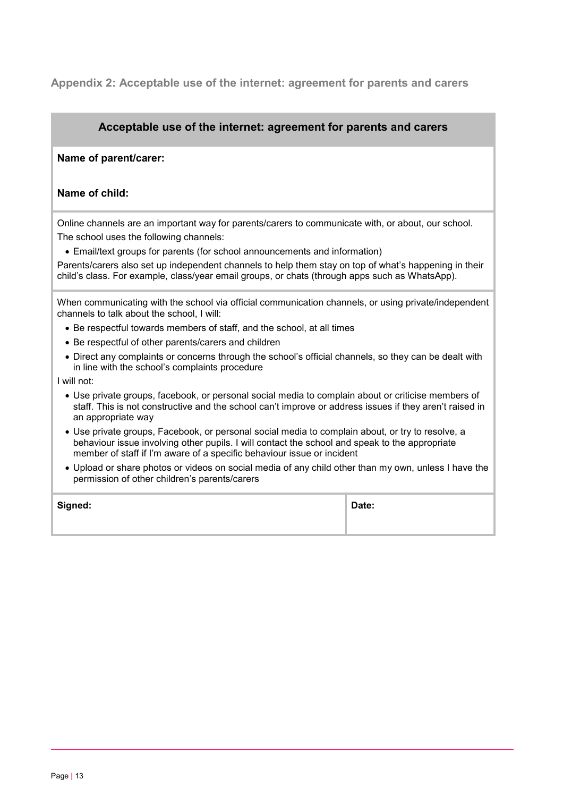<span id="page-12-0"></span>**Appendix 2: Acceptable use of the internet: agreement for parents and carers**

## **Acceptable use of the internet: agreement for parents and carers**

#### **Name of parent/carer:**

### **Name of child:**

Online channels are an important way for parents/carers to communicate with, or about, our school. The school uses the following channels:

• Email/text groups for parents (for school announcements and information)

Parents/carers also set up independent channels to help them stay on top of what's happening in their child's class. For example, class/year email groups, or chats (through apps such as WhatsApp).

When communicating with the school via official communication channels, or using private/independent channels to talk about the school, I will:

- Be respectful towards members of staff, and the school, at all times
- Be respectful of other parents/carers and children
- Direct any complaints or concerns through the school's official channels, so they can be dealt with in line with the school's complaints procedure
- I will not:
	- Use private groups, facebook, or personal social media to complain about or criticise members of staff. This is not constructive and the school can't improve or address issues if they aren't raised in an appropriate way
	- Use private groups, Facebook, or personal social media to complain about, or try to resolve, a behaviour issue involving other pupils. I will contact the school and speak to the appropriate member of staff if I'm aware of a specific behaviour issue or incident
	- Upload or share photos or videos on social media of any child other than my own, unless I have the permission of other children's parents/carers

| Signed: | Date: |
|---------|-------|
|         |       |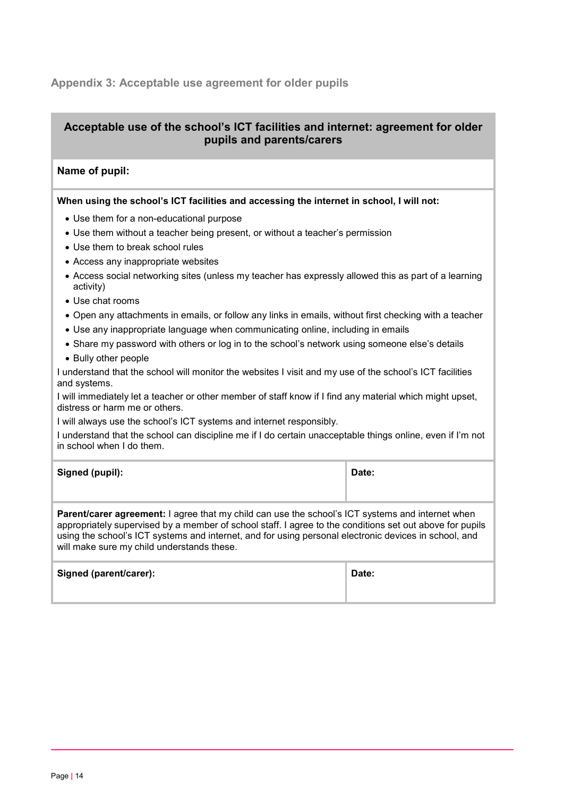## <span id="page-13-0"></span>**Appendix 3: Acceptable use agreement for older pupils**

## **Acceptable use of the school's ICT facilities and internet: agreement for older pupils and parents/carers**

### **Name of pupil:**

#### **When using the school's ICT facilities and accessing the internet in school, I will not:**

- Use them for a non-educational purpose
- Use them without a teacher being present, or without a teacher's permission
- Use them to break school rules
- Access any inappropriate websites
- Access social networking sites (unless my teacher has expressly allowed this as part of a learning activity)
- Use chat rooms
- Open any attachments in emails, or follow any links in emails, without first checking with a teacher
- Use any inappropriate language when communicating online, including in emails
- Share my password with others or log in to the school's network using someone else's details
- Bully other people

I understand that the school will monitor the websites I visit and my use of the school's ICT facilities and systems.

I will immediately let a teacher or other member of staff know if I find any material which might upset, distress or harm me or others.

I will always use the school's ICT systems and internet responsibly.

I understand that the school can discipline me if I do certain unacceptable things online, even if I'm not in school when I do them.

| Signed (pupil): | Date: |
|-----------------|-------|
|                 |       |

**Parent/carer agreement:** I agree that my child can use the school's ICT systems and internet when appropriately supervised by a member of school staff. I agree to the conditions set out above for pupils using the school's ICT systems and internet, and for using personal electronic devices in school, and will make sure my child understands these.

| Signed (parent/carer): | Date: |
|------------------------|-------|
|                        |       |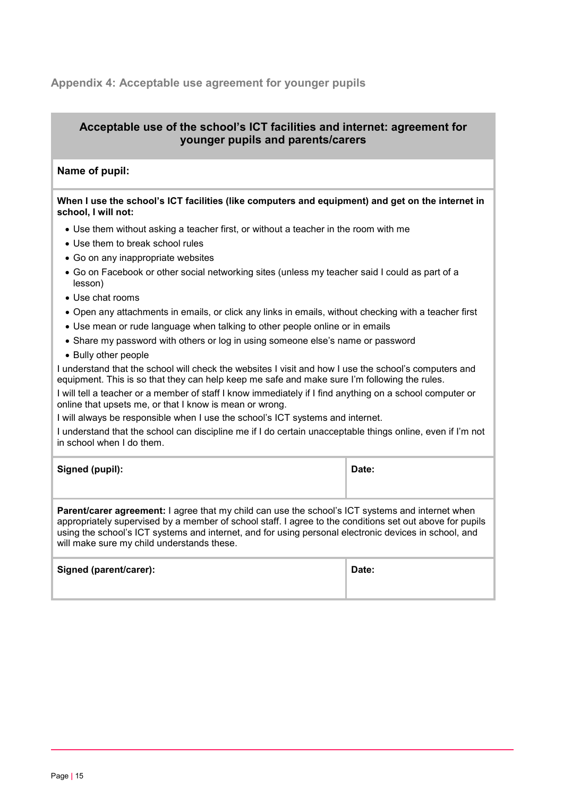## <span id="page-14-0"></span>**Appendix 4: Acceptable use agreement for younger pupils**

## **Acceptable use of the school's ICT facilities and internet: agreement for younger pupils and parents/carers**

### **Name of pupil:**

| When I use the school's ICT facilities (like computers and equipment) and get on the internet in |  |
|--------------------------------------------------------------------------------------------------|--|
| school, I will not:                                                                              |  |

- Use them without asking a teacher first, or without a teacher in the room with me
- Use them to break school rules
- Go on any inappropriate websites
- Go on Facebook or other social networking sites (unless my teacher said I could as part of a lesson)
- Use chat rooms
- Open any attachments in emails, or click any links in emails, without checking with a teacher first
- Use mean or rude language when talking to other people online or in emails
- Share my password with others or log in using someone else's name or password
- Bully other people

I understand that the school will check the websites I visit and how I use the school's computers and equipment. This is so that they can help keep me safe and make sure I'm following the rules.

I will tell a teacher or a member of staff I know immediately if I find anything on a school computer or online that upsets me, or that I know is mean or wrong.

I will always be responsible when I use the school's ICT systems and internet.

I understand that the school can discipline me if I do certain unacceptable things online, even if I'm not in school when I do them.

| Signed (pupil): | Date: |
|-----------------|-------|
|                 |       |

**Parent/carer agreement:** I agree that my child can use the school's ICT systems and internet when appropriately supervised by a member of school staff. I agree to the conditions set out above for pupils using the school's ICT systems and internet, and for using personal electronic devices in school, and will make sure my child understands these.

| Signed (parent/carer): | Date: |
|------------------------|-------|
|                        |       |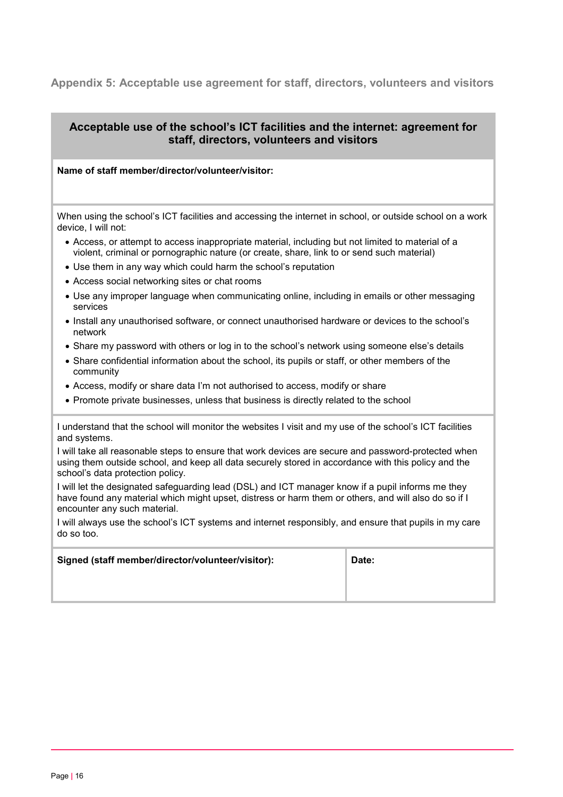## <span id="page-15-0"></span>**Appendix 5: Acceptable use agreement for staff, directors, volunteers and visitors**

## **Acceptable use of the school's ICT facilities and the internet: agreement for staff, directors, volunteers and visitors**

#### **Name of staff member/director/volunteer/visitor:**

When using the school's ICT facilities and accessing the internet in school, or outside school on a work device, I will not:

- Access, or attempt to access inappropriate material, including but not limited to material of a violent, criminal or pornographic nature (or create, share, link to or send such material)
- Use them in any way which could harm the school's reputation
- Access social networking sites or chat rooms
- Use any improper language when communicating online, including in emails or other messaging services
- Install any unauthorised software, or connect unauthorised hardware or devices to the school's network
- Share my password with others or log in to the school's network using someone else's details
- Share confidential information about the school, its pupils or staff, or other members of the community
- Access, modify or share data I'm not authorised to access, modify or share
- Promote private businesses, unless that business is directly related to the school

I understand that the school will monitor the websites I visit and my use of the school's ICT facilities and systems.

I will take all reasonable steps to ensure that work devices are secure and password-protected when using them outside school, and keep all data securely stored in accordance with this policy and the school's data protection policy.

I will let the designated safeguarding lead (DSL) and ICT manager know if a pupil informs me they have found any material which might upset, distress or harm them or others, and will also do so if I encounter any such material.

I will always use the school's ICT systems and internet responsibly, and ensure that pupils in my care do so too.

| Signed (staff member/director/volunteer/visitor): | Date: |
|---------------------------------------------------|-------|
|                                                   |       |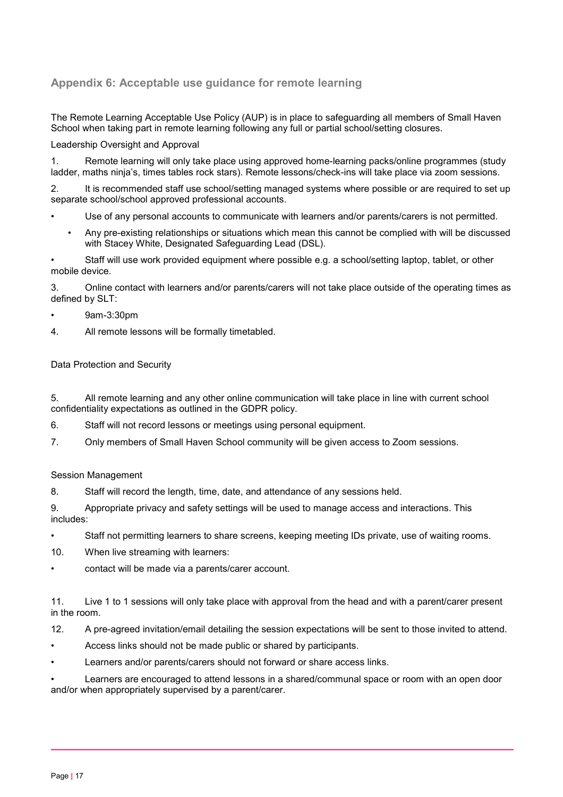## **Appendix 6: Acceptable use guidance for remote learning**

The Remote Learning Acceptable Use Policy (AUP) is in place to safeguarding all members of Small Haven School when taking part in remote learning following any full or partial school/setting closures.

#### Leadership Oversight and Approval

1. Remote learning will only take place using approved home-learning packs/online programmes (study ladder, maths ninja's, times tables rock stars). Remote lessons/check-ins will take place via zoom sessions.

2. It is recommended staff use school/setting managed systems where possible or are required to set up separate school/school approved professional accounts.

- Use of any personal accounts to communicate with learners and/or parents/carers is not permitted.
	- Any pre-existing relationships or situations which mean this cannot be complied with will be discussed with Stacey White, Designated Safeguarding Lead (DSL).

• Staff will use work provided equipment where possible e.g. a school/setting laptop, tablet, or other mobile device.

3. Online contact with learners and/or parents/carers will not take place outside of the operating times as defined by SLT:

#### • 9am-3:30pm

4. All remote lessons will be formally timetabled.

#### Data Protection and Security

5. All remote learning and any other online communication will take place in line with current school confidentiality expectations as outlined in the GDPR policy.

- 6. Staff will not record lessons or meetings using personal equipment.
- 7. Only members of Small Haven School community will be given access to Zoom sessions.

#### Session Management

8. Staff will record the length, time, date, and attendance of any sessions held.

9. Appropriate privacy and safety settings will be used to manage access and interactions. This includes:

- Staff not permitting learners to share screens, keeping meeting IDs private, use of waiting rooms.
- 10. When live streaming with learners:
- contact will be made via a parents/carer account.

11. Live 1 to 1 sessions will only take place with approval from the head and with a parent/carer present in the room.

12. A pre-agreed invitation/email detailing the session expectations will be sent to those invited to attend.

- Access links should not be made public or shared by participants.
- Learners and/or parents/carers should not forward or share access links.

• Learners are encouraged to attend lessons in a shared/communal space or room with an open door and/or when appropriately supervised by a parent/carer.